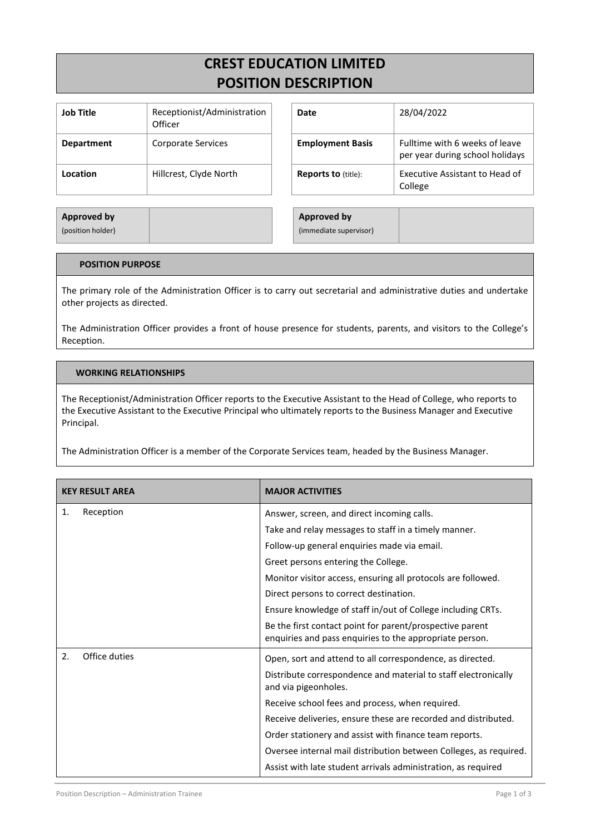# **CREST EDUCATION LIMITED POSITION DESCRIPTION**

| Job Title         | Receptionist/Administration<br>Officer |
|-------------------|----------------------------------------|
| <b>Department</b> | <b>Corporate Services</b>              |
| Location          | Hillcrest, Clyde North                 |

| Job Title         | Receptionist/Administration<br>Officer | Date                       | 28/04/2022                                                        |
|-------------------|----------------------------------------|----------------------------|-------------------------------------------------------------------|
| <b>Department</b> | Corporate Services                     | <b>Employment Basis</b>    | Fulltime with 6 weeks of leave<br>per year during school holidays |
| Location          | Hillcrest, Clyde North                 | <b>Reports to (title):</b> | Executive Assistant to Head of<br>College                         |

| Approved by       |  | <b>Approved by</b>     |
|-------------------|--|------------------------|
| (position holder) |  | (immediate supervisor) |

### **POSITION PURPOSE**

The primary role of the Administration Officer is to carry out secretarial and administrative duties and undertake other projects as directed.

The Administration Officer provides a front of house presence for students, parents, and visitors to the College's Reception.

#### **WORKING RELATIONSHIPS**

The Receptionist/Administration Officer reports to the Executive Assistant to the Head of College, who reports to the Executive Assistant to the Executive Principal who ultimately reports to the Business Manager and Executive Principal.

The Administration Officer is a member of the Corporate Services team, headed by the Business Manager.

| <b>KEY RESULT AREA</b> | <b>MAJOR ACTIVITIES</b>                                                                                             |
|------------------------|---------------------------------------------------------------------------------------------------------------------|
| Reception<br>1.        | Answer, screen, and direct incoming calls.                                                                          |
|                        | Take and relay messages to staff in a timely manner.                                                                |
|                        | Follow-up general enquiries made via email.                                                                         |
|                        | Greet persons entering the College.                                                                                 |
|                        | Monitor visitor access, ensuring all protocols are followed.                                                        |
|                        | Direct persons to correct destination.                                                                              |
|                        | Ensure knowledge of staff in/out of College including CRTs.                                                         |
|                        | Be the first contact point for parent/prospective parent<br>enquiries and pass enquiries to the appropriate person. |
| 2.<br>Office duties    | Open, sort and attend to all correspondence, as directed.                                                           |
|                        | Distribute correspondence and material to staff electronically<br>and via pigeonholes.                              |
|                        | Receive school fees and process, when required.                                                                     |
|                        | Receive deliveries, ensure these are recorded and distributed.                                                      |
|                        | Order stationery and assist with finance team reports.                                                              |
|                        | Oversee internal mail distribution between Colleges, as required.                                                   |
|                        | Assist with late student arrivals administration, as required                                                       |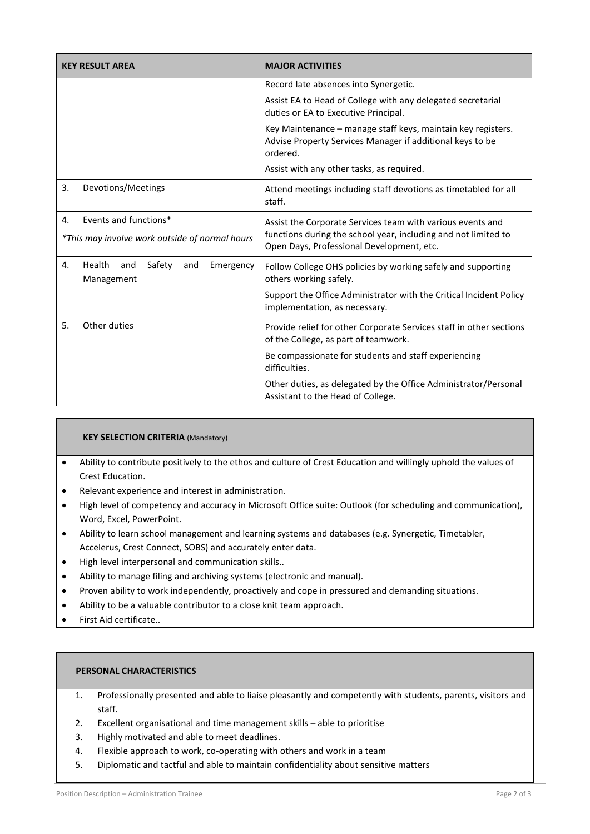| <b>KEY RESULT AREA</b>                                          | <b>MAJOR ACTIVITIES</b>                                                                                                               |
|-----------------------------------------------------------------|---------------------------------------------------------------------------------------------------------------------------------------|
|                                                                 | Record late absences into Synergetic.                                                                                                 |
|                                                                 | Assist EA to Head of College with any delegated secretarial<br>duties or EA to Executive Principal.                                   |
|                                                                 | Key Maintenance – manage staff keys, maintain key registers.<br>Advise Property Services Manager if additional keys to be<br>ordered. |
|                                                                 | Assist with any other tasks, as required.                                                                                             |
| 3.<br>Devotions/Meetings                                        | Attend meetings including staff devotions as timetabled for all<br>staff.                                                             |
| Events and functions*<br>4.                                     | Assist the Corporate Services team with various events and                                                                            |
| *This may involve work outside of normal hours                  | functions during the school year, including and not limited to<br>Open Days, Professional Development, etc.                           |
| Health<br>Safety<br>4.<br>and<br>and<br>Emergency<br>Management | Follow College OHS policies by working safely and supporting<br>others working safely.                                                |
|                                                                 | Support the Office Administrator with the Critical Incident Policy<br>implementation, as necessary.                                   |
| Other duties<br>5.                                              | Provide relief for other Corporate Services staff in other sections<br>of the College, as part of teamwork.                           |
|                                                                 | Be compassionate for students and staff experiencing<br>difficulties.                                                                 |
|                                                                 | Other duties, as delegated by the Office Administrator/Personal<br>Assistant to the Head of College.                                  |

# **KEY SELECTION CRITERIA** (Mandatory)

- Ability to contribute positively to the ethos and culture of Crest Education and willingly uphold the values of Crest Education.
- Relevant experience and interest in administration.
- High level of competency and accuracy in Microsoft Office suite: Outlook (for scheduling and communication), Word, Excel, PowerPoint.
- Ability to learn school management and learning systems and databases (e.g. Synergetic, Timetabler, Accelerus, Crest Connect, SOBS) and accurately enter data.
- High level interpersonal and communication skills..
- Ability to manage filing and archiving systems (electronic and manual).
- Proven ability to work independently, proactively and cope in pressured and demanding situations.
- Ability to be a valuable contributor to a close knit team approach.
- First Aid certificate..

# **PERSONAL CHARACTERISTICS**

- 1. Professionally presented and able to liaise pleasantly and competently with students, parents, visitors and staff.
- 2. Excellent organisational and time management skills able to prioritise
- 3. Highly motivated and able to meet deadlines.
- 4. Flexible approach to work, co-operating with others and work in a team
- 5. Diplomatic and tactful and able to maintain confidentiality about sensitive matters